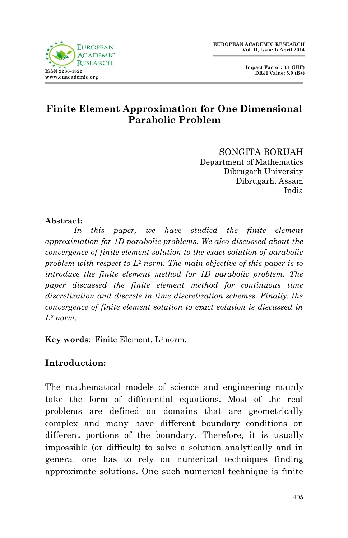



## **Finite Element Approximation for One Dimensional Parabolic Problem**

SONGITA BORUAH Department of Mathematics Dibrugarh University Dibrugarh, Assam India

### **Abstract:**

In this paper, we have studied the finite element *approximation for 1D parabolic problems. We also discussed about the convergence of finite element solution to the exact solution of parabolic problem with respect to L<sup>2</sup> norm. The main objective of this paper is to introduce the finite element method for 1D parabolic problem. The paper discussed the finite element method for continuous time discretization and discrete in time discretization schemes. Finally, the convergence of finite element solution to exact solution is discussed in L<sup>2</sup> norm.*

**Key words**: Finite Element, L<sup>2</sup> norm.

### **Introduction:**

The mathematical models of science and engineering mainly take the form of differential equations. Most of the real problems are defined on domains that are geometrically complex and many have different boundary conditions on different portions of the boundary. Therefore, it is usually impossible (or difficult) to solve a solution analytically and in general one has to rely on numerical techniques finding approximate solutions. One such numerical technique is finite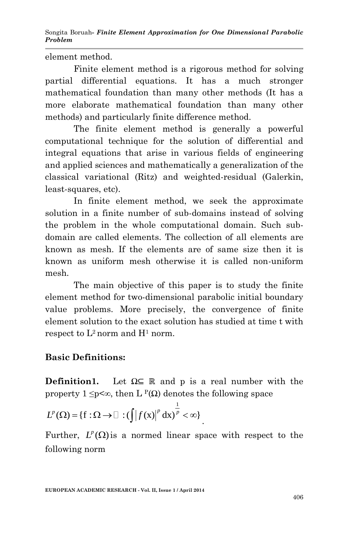element method.

Finite element method is a rigorous method for solving partial differential equations. It has a much stronger mathematical foundation than many other methods (It has a more elaborate mathematical foundation than many other methods) and particularly finite difference method.

The finite element method is generally a powerful computational technique for the solution of differential and integral equations that arise in various fields of engineering and applied sciences and mathematically a generalization of the classical variational (Ritz) and weighted-residual (Galerkin, least-squares, etc).

In finite element method, we seek the approximate solution in a finite number of sub-domains instead of solving the problem in the whole computational domain. Such subdomain are called elements. The collection of all elements are known as mesh. If the elements are of same size then it is known as uniform mesh otherwise it is called non-uniform mesh.

The main objective of this paper is to study the finite element method for two-dimensional parabolic initial boundary value problems. More precisely, the convergence of finite element solution to the exact solution has studied at time t with respect to  $L^2$  norm and  $H^1$  norm.

# **Basic Definitions:**

**Definition1.** Let  $\Omega \subseteq \mathbb{R}$  and p is a real number with the property  $1 \le p \le \infty$ , then L <sup>P</sup>(Ω) denotes the following space

$$
L^{p}(\Omega) = \{f : \Omega \to \square : (\int |f(x)|^{p} dx)^{\frac{1}{p}} < \infty\}
$$

Further,  $L^p(\Omega)$  is a normed linear space with respect to the following norm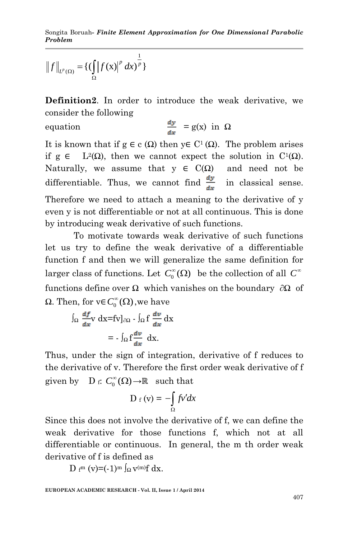$$
||f||_{L^{p}(\Omega)} = {\{(\int_{\Omega} |f(x)|^{p} dx)^{\frac{1}{p}}\}}
$$

**Definition2**. In order to introduce the weak derivative, we consider the following

equation  $\frac{d}{d}$ 

$$
\frac{dy}{dx} = g(x) \text{ in } \Omega
$$

It is known that if  $g \in c(\Omega)$  then  $y \in C^1(\Omega)$ . The problem arises if g ∈ L<sup>2</sup>(Ω), then we cannot expect the solution in C<sup>1</sup>(Ω). Naturally, we assume that  $y \in C(\Omega)$  and need not be differentiable. Thus, we cannot find  $\frac{dy}{dx}$  in classical sense.

Therefore we need to attach a meaning to the derivative of y even y is not differentiable or not at all continuous. This is done by introducing weak derivative of such functions.

To motivate towards weak derivative of such functions let us try to define the weak derivative of a differentiable function f and then we will generalize the same definition for larger class of functions. Let  $C_0^{\infty}(\Omega)$  be the collection of all  $C^{\infty}$ functions define over  $\Omega$  which vanishes on the boundary ∂Ω of  $Ω$ . Then, for  $v \in C_0^{\infty}(\Omega)$ , we have

$$
\int_{\Omega} \frac{df}{dx} \mathbf{v} \, dx = f\mathbf{v} \big|_{\partial \Omega} - \int_{\Omega} f \, \frac{dv}{dx} \, dx
$$

$$
= - \int_{\Omega} f \frac{dv}{dx} \, dx.
$$

Thus, under the sign of integration, derivative of f reduces to the derivative of v. Therefore the first order weak derivative of f given by D f:  $C_0^{\infty}(\Omega) \to \mathbb{R}$  such that

$$
D_f(v) = -\int_{\Omega} fv' dx
$$

Since this does not involve the derivative of f, we can define the weak derivative for those functions f, which not at all differentiable or continuous. In general, the m th order weak derivative of f is defined as

D f<sup>m</sup> (v)=(-1)<sup>m</sup>  $\int_{\Omega}$  v<sup>(m)</sup>f dx.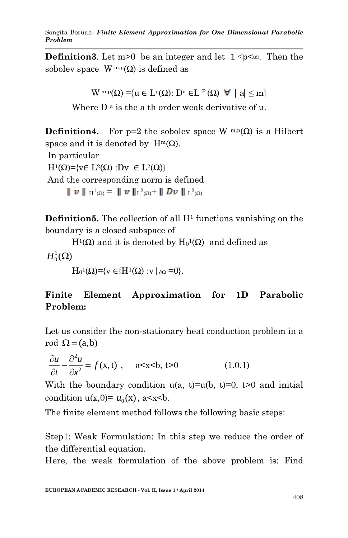**Definition3**. Let m>0 be an integer and let  $1 \le p \le \infty$ . Then the sobolev space  $W^{m,p}(\Omega)$  is defined as

$$
W^{m,p}(\Omega) = \{ u \in L^p(\Omega) : D^a \in L^p(\Omega) \ \forall \ |a| \leq m \}
$$

Where  $D^a$  is the a th order weak derivative of u.

**Definition4.** For p=2 the sobolev space W  $^{m,p}(\Omega)$  is a Hilbert space and it is denoted by  $H^m(\Omega)$ . In particular  $H^1(\Omega) = \{ v \in L^2(\Omega) : Dv \in L^2(\Omega) \}$ And the corresponding norm is defined  $\parallel v \parallel _{H^1(\Omega)} = \parallel v \parallel _{L^2(\Omega)} + \parallel Dv \parallel _{L^2(\Omega)}$ 

**Definition5.** The collection of all H<sup>1</sup> functions vanishing on the boundary is a closed subspace of

 $H^1(\Omega)$  and it is denoted by  $H_0^1(\Omega)$  and defined as

 $H^1_0(\Omega)$ 

 $H_0^1(\Omega) = \{v \in \{H^1(\Omega) : v \mid \partial \Omega = 0\}.$ 

# **Finite Element Approximation for 1D Parabolic Problem:**

Let us consider the non-stationary heat conduction problem in a rod  $\Omega = (a, b)$ 

$$
\frac{\partial u}{\partial t} - \frac{\partial^2 u}{\partial x^2} = f(x, t) , \quad a < x < b, t > 0
$$
 (1.0.1)

With the boundary condition  $u(a, t)=u(b, t)=0$ ,  $t>0$  and initial condition  $u(x,0) = u_0(x)$ ,  $a < x < b$ .

The finite element method follows the following basic steps:

Step1: Weak Formulation: In this step we reduce the order of the differential equation.

Here, the weak formulation of the above problem is: Find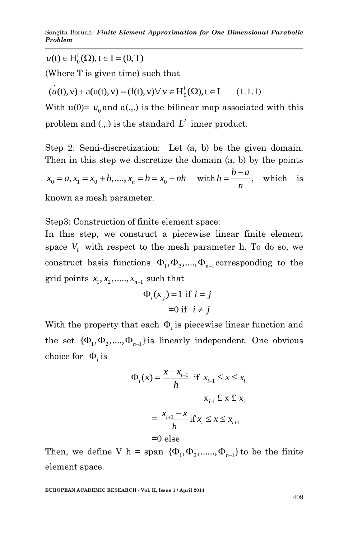$u(t) \in H_0^1(\Omega)$ ,  $t \in I = (0, T)$ 

(Where T is given time) such that  
\n
$$
(u(t), v) + a(u(t), v) = (f(t), v) \forall v \in H_0^1(\Omega), t \in I
$$
\n(1.1.1)

With  $u(0) = u_0$  and  $a(.,.)$  is the bilinear map associated with this problem and  $(.,.)$  is the standard  $L^2$  inner product.

 ${}^1_0(\Omega), t \in I = (0, T)$ <br>
T is given time) such that<br>  $+ a(u(0), v) = (f(t), v) \forall v \in H^1_0(\Omega), t \in I$  (1.1.1)<br>  $(0) = u_0$  and  $a(.,)$  is the bilinear map associated with this<br>
and  $(.,)$  is the standard  $I^2$  inner product.<br>
Semi-discretizat Step 2: Semi-discretization: Let (a, b) be the given domain. Then in this step we discretize the domain (a, b) by the points  $x_0 = a, x_1 = x_0 + h, ..., x_n = b = x_0 + nh$  with  $h = \frac{b-a}{n}$ *n*  $=\frac{b-a}{s}$ , which is known as mesh parameter.

Step3: Construction of finite element space:

In this step, we construct a piecewise linear finite element space  $V_h$  with respect to the mesh parameter h. To do so, we construct basis functions  $\Phi_1, \Phi_2, ..., \Phi_{n-1}$  corresponding to the grid points  $x_1, x_2, \ldots, x_{n-1}$  such that

$$
\Phi_i(\mathbf{x}_j) = 1 \text{ if } i = j
$$
  
=0 if  $i \neq j$ 

With the property that each  $\Phi_i$  is piecewise linear function and the set  $\{\Phi_1, \Phi_2, ..., \Phi_{n-1}\}$  is linearly independent. One obvious choice for  $\Phi_i$  is

$$
\Phi_i(\mathbf{x}) = \frac{x - x_{i-1}}{h} \text{ if } x_{i-1} \le x \le x_i
$$
  

$$
\mathbf{x}_{i-1} \le x \le x_i
$$
  

$$
= \frac{x_{i+1} - x}{h} \text{ if } x_i \le x \le x_{i+1}
$$
  
=0 else

Then, we define V h = span  $\{\Phi_1, \Phi_2, \dots, \Phi_{n-1}\}$  to be the finite element space.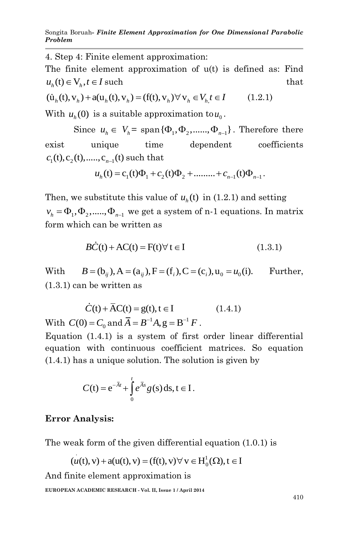4. Step 4: Finite element approximation:

The finite element approximation of u(t) is defined as: Find  $u_h(t) \in V_h, t \in I$  such such that that the such that that  $\mathbf{t}$  $u_h(t) \in V_h, t \in I$  such<br>  $(\dot{u}_h(t), v_h) + a(u_h(t), v_h) = (f(t), v_h) \forall v_h \in V_h, t \in I$  (1.2.1)

$$
(\dot{u}_h(t), v_h) + a(u_h(t), v_h) = (f(t), v_h) \forall v_h \in V_h, t \in I \qquad (1.2.1)
$$

With  $u_h(0)$  is a suitable approximation to  $u_0$ .

Since  $u_h \in V_h$  = span { $\Phi_1$ ,  $\Phi_2$ ,......,  $\Phi_{n-1}$ }. Therefore there exist unique time dependent coefficients  $c_1(t), c_2(t), \dots, c_{n-1}(t)$  such that<br>  $u_h(t) = c_1(t)\Phi_1 + c_2(t)\Phi_2 + \dots + c_{n-1}(t)\Phi_{n-1}$ .

$$
u_{h}(t) = c_{1}(t)\Phi_{1} + c_{2}(t)\Phi_{2} + \dots + c_{n-1}(t)\Phi_{n-1}.
$$

Then, we substitute this value of  $u_h(t)$  in (1.2.1) and setting  $v_h = \Phi_1, \Phi_2, \dots, \Phi_{n-1}$  we get a system of n-1 equations. In matrix form which can be written as

$$
\vec{BC}(t) + \vec{AC}(t) = \vec{F}(t) \forall t \in I \tag{1.3.1}
$$

With  $B = (b_{ij}), A = (a_{ij}), F = (f_i), C = (c_i), u_0 = u_0(i).$ Further, (1.3.1) can be written as

$$
\dot{C}(t) + \overline{A}C(t) = g(t), t \in I
$$
\nWith  $C(0) = C_0$  and  $\overline{A} = B^{-1}A$ ,  $g = B^{-1}F$ .

\n(1.4.1)

Equation (1.4.1) is a system of first order linear differential equation with continuous coefficient matrices. So equation (1.4.1) has a unique solution. The solution is given by

$$
C(t) = e^{-\bar{A}t} + \int_{0}^{t} e^{\bar{A}s} g(s) ds, t \in I.
$$

### **Error Analysis:**

The weak form of the given differential equation (1.0.1) is<br>  $(u(t), v) + a(u(t), v) = (f(t), v) \forall v \in H_0^1(\Omega), t \in I$ 

$$
(u(t), v) + a(u(t), v) = (f(t), v) \forall v \in H_0^1(\Omega), t \in I
$$

And finite element approximation is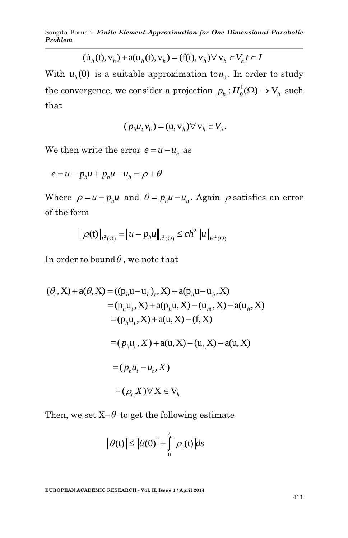$$
\overline{(\dot{u}_h(t), v_h) + a(u_h(t), v_h) = (f(t), v_h) \forall v_h \in V_h, t \in I}
$$

With  $u_h(0)$  is a suitable approximation to  $u_0$ . In order to study the convergence, we consider a projection  $p_h : H_0^1(\Omega) \to V_h$  such that

$$
(p_h u, v_h) = (u, v_h) \forall v_h \in V_h.
$$

We then write the error  $e = u - u_h$  as

$$
e = u - p_h u + p_h u - u_h = \rho + \theta
$$

Where  $\rho = u - p_h u$  and  $\theta = p_h u - u_h$ . Again  $\rho$  satisfies an error of the form

$$
\|\rho(t)\|_{L^2(\Omega)} = \|u - p_h u\|_{L^2(\Omega)} \le c h^2 \|u\|_{H^2(\Omega)}
$$

In order to bound  $\theta$ , we note that

$$
(\theta_t, X) + a(\theta, X) = ((p_h u - u_h)_t, X) + a(p_h u - u_h, X)
$$
  
\n
$$
= (p_h u_t, X) + a(p_h u, X) - (u_h, X) - a(u_h, X)
$$
  
\n
$$
= (p_h u_t, X) + a(u, X) - (f, X)
$$
  
\n
$$
= (p_h u_t, X) + a(u, X) - (u_t, X) - a(u, X)
$$
  
\n
$$
= (p_h u_t - u_t, X)
$$
  
\n
$$
= (\rho_t, X) \forall X \in V_h
$$

Then, we set  $X = \theta$  to get the following estimate

$$
\|\theta(t)\| \le \|\theta(0)\| + \int_0^t \|\rho_t(t)\| ds
$$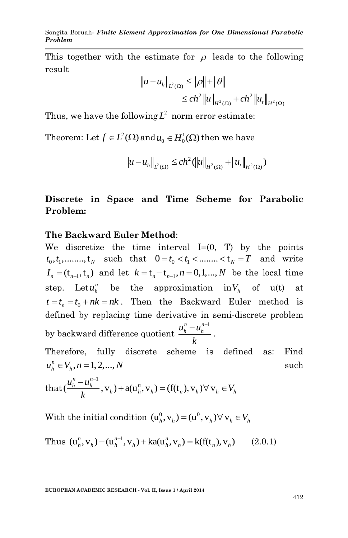This together with the estimate for  $\rho$  leads to the following result

$$
\|u - u_h\|_{L^2(\Omega)} \le \|\rho\| + \|\theta\|
$$
  

$$
\le ch^2 \|u\|_{H^2(\Omega)} + ch^2 \|u_t\|_{H^2(\Omega)}
$$

Thus, we have the following  $L^2$  norm error estimate:

Theorem: Let  $f \in L^2(\Omega)$  and  $u_0 \in H_0^1(\Omega)$  then we have

$$
\|u - u_h\|_{L^2(\Omega)} \le c h^2 (\|u\|_{H^2(\Omega)} + \|u_t\|_{H^2(\Omega)})
$$

## **Discrete in Space and Time Scheme for Parabolic Problem:**

### **The Backward Euler Method**:

We discretize the time interval  $I=(0, T)$  by the points we discretize the time interval  $1-(0, 1)$  by the points<br>  $t_0, t_1, \dots, t_N$  such that  $0 = t_0 < t_1 < \dots < t_N = T$  and write  $I_n = (t_{n-1}, t_n)$  and let  $k = t_n - t_{n-1}, n = 0, 1, ..., N$  be the local time step. Let  $u_h^n$  be the approximation in  $V_h$  of u(t) at  $t = t_n = t_0 + nk = nk$ . Then the Backward Euler method is defined by replacing time derivative in semi-discrete problem by backward difference quotient  $u_{h}^{n} - u_{h}^{n-1}$ *k*  $\frac{-u_h^{n-1}}{u}$ .

Therefore, fully discrete scheme is defined as: Find  $u_h^n \in V_h$ ,  $n = 1, 2, ..., N$ such

$$
u_h^n \in V_h, n = 1, 2, ..., N
$$
  
that  $(\frac{u_h^n - u_h^{n-1}}{k}, v_h) + a(u_h^n, v_h) = (f(t_h), v_h) \forall v_h \in V_h$ 

With the initial condition  $(\mathbf{u}_h^0, \mathbf{v}_h) = (\mathbf{u}^0, \mathbf{v}_h) \forall \mathbf{v}_h \in V_h$ 

Thus 
$$
(u_h^n, v_h) - (u_h^{n-1}, v_h) + ka(u_h^n, v_h) = k(f(t_n), v_h)
$$
 (2.0.1)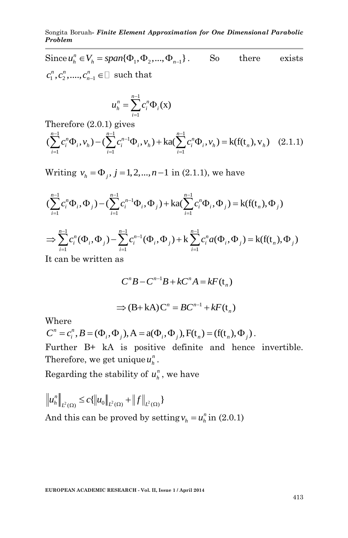Songita Boruah*- Finite Element Approximation for One Dimensional Parabolic Problem*

Since  $u_n^n \in V_h = span{\{\Phi_1, \Phi_2, ..., \Phi_{n-1}\}}$ So there exists  $c_1^n, c_2^n, \ldots, c_{n-1}^n$  $c_1^n, c_2^n, \dots, c_{n-1}^n \in \square$  such that

$$
u_h^n = \sum_{i=1}^{n-1} c_i^n \Phi_i(\mathbf{x})
$$

$$
u_h^n = \sum_{i=1}^n c_i^n \Phi_i(\mathbf{x})
$$
  
Therefore (2.0.1) gives  

$$
(\sum_{i=1}^{n-1} c_i^n \Phi_i, v_h) - (\sum_{i=1}^{n-1} c_i^{n-1} \Phi_i, v_h) + \text{ka}(\sum_{i=1}^{n-1} c_i^n \Phi_i, v_h) = \text{k}(f(t_n), v_h) \quad (2.1.1)
$$

Writing 
$$
v_h = \Phi_j
$$
,  $j = 1, 2, ..., n-1$  in (2.1.1), we have  
\n
$$
(\sum_{i=1}^{n-1} c_i^n \Phi_i, \Phi_j) - (\sum_{i=1}^{n-1} c_i^{n-1} \Phi_i, \Phi_j) + ka(\sum_{i=1}^{n-1} c_i^n \Phi_i, \Phi_j) = k(f(t_n), \Phi_j)
$$
\n
$$
\Rightarrow \sum_{i=1}^{n-1} c_i^n (\Phi_i, \Phi_j) - \sum_{i=1}^{n-1} c_i^{n-1} (\Phi_i, \Phi_j) + k \sum_{i=1}^{n-1} c_i^n a(\Phi_i, \Phi_j) = k(f(t_n), \Phi_j)
$$

It can be written as

$$
C^n B - C^{n-1}B + kC^n A = kF(\mathbf{t}_n)
$$

$$
\Rightarrow (B + kA)C^{n} = BC^{n-1} + kF(t_{n})
$$

Where

$$
\Rightarrow (\mathbf{B} + \mathbf{K}\mathbf{A})\mathbf{C}^{\top} = \mathbf{B}\mathbf{C}^{\top} + \mathbf{K}\mathbf{F}(\mathbf{t}_n)
$$
  
Where  

$$
\mathbf{C}^n = c_i^n, \mathbf{B} = (\Phi_i, \Phi_j), \mathbf{A} = \mathbf{a}(\Phi_i, \Phi_j), \mathbf{F}(\mathbf{t}_n) = (\mathbf{f}(\mathbf{t}_n), \Phi_j).
$$

Further B+ kA is positive definite and hence invertible. Therefore, we get unique  $u_h^n$ .

Regarding the stability of  $u_h^n$ , we have

$$
\left\|u_{h}^{n}\right\|_{L^{2}(\Omega)} \leq c\{\left\|u_{0}\right\|_{L^{2}(\Omega)} + \left\|f\right\|_{L^{2}(\Omega)}\}
$$

And this can be proved by setting  $v_h = u_h^n$  in (2.0.1)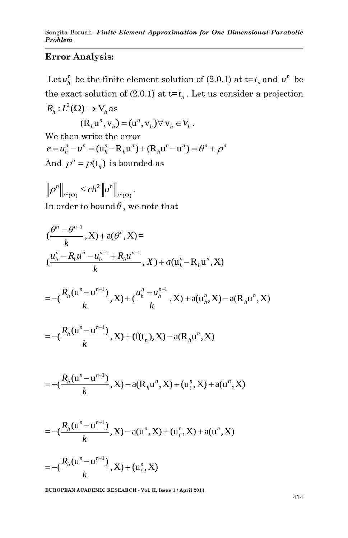### **Error Analysis:**

Let  $u_h^n$  be the finite element solution of (2.0.1) at  $t = t_n$  and  $u^n$  be the exact solution of  $(2.0.1)$  at  $t=t_n$ . Let us consider a projection  $R_h: L^2(\Omega) \to V_h$  as

$$
(\mathbf{R}_h \mathbf{u}^n, \mathbf{v}_h) = (\mathbf{u}^n, \mathbf{v}_h) \forall \mathbf{v}_h \in V_h.
$$

We then write the error We then write the error<br>  $e = u_h^n - u^n = (u_h^n - R_h u^n) + (R_h u^n - u^n) = \theta^n + \rho^n$ And  $\rho^n = \rho(\mathfrak{t}_n)$  is bounded as

 $\sum_{2} \le c h^2 \|u^n\|_{L^2}$  $\alpha$   $\leq$   $\mathcal{L}\mathcal{H}$   $\|\mu\|_{L^2(\Omega)}$ *n*  $|| \leq c h^2 ||u^n$  $\rho^{n} \|_{L^{2}(\Omega)} \leq c h^{2} \| u^{n} \|_{L^{2}(\Omega)}$ . In order to bound  $\theta$ , we note that

$$
\begin{aligned} &(\frac{\theta^n - \theta^{n-1}}{k}, X) + a(\theta^n, X) = \\ &(\frac{u_h^n - R_h u^n - u_h^{n-1} + R_h u^{n-1}}{k}, X) + a(u_h^n - R_h u^n, X) \end{aligned}
$$

k, 
$$
(x, \mu)
$$
,  $(\mu)^n$ ,  $(\mu)^n$ ,  $(\mu)^n$ ,  $(\mu)^n$ ,  $(\mu)^n$ ,  $(\mu)^n$ ,  $(\mu)^n$ ,  $(\mu)^n$ ,  $(\mu)^n$ ,  $(\mu)^n$ ,  $(\mu)^n$ ,  $(\mu)^n$ ,  $(\mu)^n$ ,  $(\mu)^n$ ,  $(\mu)^n$ ,  $(\mu)^n$ ,  $(\mu)^n$ ,  $(\mu)^n$ ,  $(\mu)^n$ ,  $(\mu)^n$ ,  $(\mu)^n$ ,  $(\mu)^n$ ,  $(\mu)^n$ ,  $(\mu)^n$ ,  $(\mu)^n$ ,  $(\mu)^n$ ,  $(\mu)^n$ ,  $(\mu)^n$ ,  $(\mu)^n$ ,  $(\mu)^n$ ,  $(\mu)^n$ ,  $(\mu)^n$ ,  $(\mu)^n$ ,  $(\mu)^n$ ,  $(\mu)^n$ ,  $(\mu)^n$ ,  $(\mu)^n$ ,  $(\mu)^n$ ,  $(\mu)^n$ ,  $(\mu)^n$ ,  $(\mu)^n$ ,  $(\mu)^n$ ,  $(\mu)^n$ ,  $(\mu)^n$ ,  $(\mu)^n$ ,  $(\mu)^n$ ,  $(\mu)^n$ ,  $(\mu)^n$ ,  $(\mu)^n$ ,  $(\mu)^n$ ,  $(\mu)^n$ ,  $(\mu)^n$ ,  $(\mu)^n$ ,  $(\mu)^n$ ,  $(\mu)^n$ ,  $(\mu)^n$ ,  $(\mu)^n$ ,  $(\mu)^n$ ,  $(\mu)^n$ ,  $(\mu)^n$ ,  $(\mu)^n$ ,  $(\mu)^n$ ,  $(\mu)^n$ ,  $(\mu)^n$ ,  $(\mu)^n$ ,  $(\mu)^n$ ,  $(\mu)^n$ ,  $(\mu)^n$ ,  $(\mu)^n$ ,  $(\mu)^n$ ,  $(\mu)^n$ ,  $(\mu)^n$ ,  $(\mu)^n$ ,  $(\mu)^n$ ,  $(\mu)^n$ ,  $($ 

$$
= -(\frac{R_h(\mathbf{u}^n - \mathbf{u}^{n-1})}{k}, X) + (\mathbf{f}(\mathbf{t}_n), X) - \mathbf{a}(\mathbf{R}_h \mathbf{u}^n, X)
$$

$$
= -\left(\frac{R_h(u^n - u^{n-1})}{k}, X\right) - a(R_h u^n, X) + (u_t^n, X) + a(u^n, X)
$$

$$
= -\left(\frac{R_h(u^n - u^{n-1})}{k}, X\right) - a(u^n, X) + (u_t^n, X) + a(u^n, X)
$$

$$
=-(\frac{R_h(u^n-u^{n-1})}{k},X)+(u^n_t,X)
$$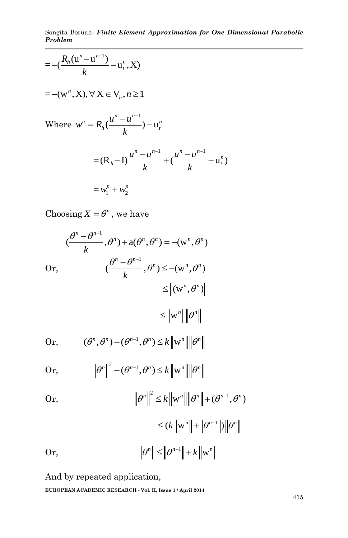Songita Boruah*- Finite Element Approximation for One Dimensional Parabolic Problem*

$$
= -(\frac{R_h(\mathbf{u}^n - \mathbf{u}^{n-1})}{k} - \mathbf{u}_t^n, \mathbf{X})
$$
  
\n
$$
= -(\mathbf{w}^n, \mathbf{X}), \forall \mathbf{X} \in \mathbf{V}_h, n \ge 1
$$
  
\nWhere  $w^n = R_h(\frac{u^n - u^{n-1}}{k}) - \mathbf{u}_t^n$   
\n
$$
= (\mathbf{R}_h - \mathbf{I}) \frac{u^n - u^{n-1}}{k} + (\frac{u^n - u^{n-1}}{k} - \mathbf{u}_t^n)
$$
  
\n
$$
= w_1^n + w_2^n
$$

Choosing  $X = \theta^n$ , we have

$$
(\frac{\theta^n - \theta^{n-1}}{k}, \theta^n) + a(\theta^n, \theta^n) = -(w^n, \theta^n)
$$
  
Or, 
$$
(\frac{\theta^n - \theta^{n-1}}{k}, \theta^n) \leq -(w^n, \theta^n)
$$

$$
\leq ||w^n|| \|\theta^n\|
$$
  
Or, 
$$
(\theta^n, \theta^n) - (\theta^{n-1}, \theta^n) \leq k ||w^n|| \|\theta^n\|
$$
  
Or, 
$$
||\theta^n||^2 - (\theta^{n-1}, \theta^n) \leq k ||w^n|| \|\theta^n\|
$$
  
Or, 
$$
||\theta^n||^2 \leq k ||w^n|| \|\theta^n\| + (\theta^{n-1}, \theta^n)
$$

$$
\leq (k \|\mathbf{w}^{n}\| + \|\theta^{n-1}\|) \|\theta^{n}\|
$$
  
Or,  

$$
\|\theta^{n}\| \leq \|\theta^{n-1}\| + k \|\mathbf{w}^{n}\|
$$

i,

And by repeated application,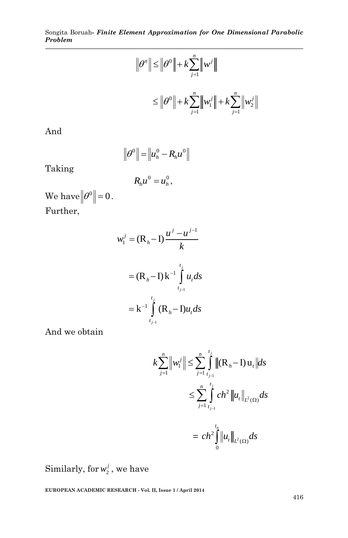$$
\|\theta^n\| \le \|\theta^0\| + k \sum_{j=1}^n \left\|w^j\right\|
$$
  

$$
\le \|\theta^0\| + k \sum_{j=1}^n \left\|w_1^j\right\| + k \sum_{j=1}^n \left\|w_2^j\right\|
$$

And

$$
\left\|\theta^0\right\| = \left\|u_h^0 - R_h u^0\right\|
$$

Taking

$$
R_h u^0 = u_h^0,
$$

We have  $||\theta^0||=0$ . Further,

$$
w_1^j = (\mathbf{R}_h - \mathbf{I}) \frac{u^j - u^{j-1}}{k}
$$
  
= (\mathbf{R}\_h - \mathbf{I}) \mathbf{k}^{-1} \int\_{t\_{j-1}}^{t\_j} u\_t ds  
= \mathbf{k}^{-1} \int\_{t\_{j-1}}^{t\_j} (\mathbf{R}\_h - \mathbf{I}) u\_t ds

And we obtain

$$
k\sum_{j=1}^{n} \left\|w_{1}^{j}\right\| \leq \sum_{j=1}^{n} \int_{t_{j-1}}^{t_{j}} \left\|(R_{h}-I)u_{t}\right\| ds
$$
  

$$
\leq \sum_{j=1}^{n} \int_{t_{j-1}}^{t_{j}} ch^{2} \left\|u_{t}\right\|_{L^{2}(\Omega)} ds
$$
  

$$
= ch^{2} \int_{0}^{t_{n}} \left\|u_{t}\right\|_{L^{2}(\Omega)} ds
$$

Similarly, for  $w_2^j$ , we have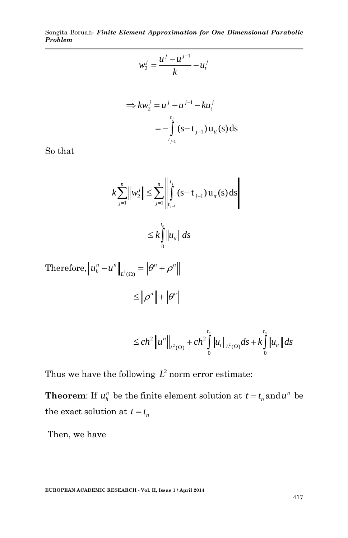Songita Boruah*- Finite Element Approximation for One Dimensional Parabolic Problem*

$$
w_2^j = \frac{u^j - u^{j-1}}{k} - u_t^j
$$

$$
\Rightarrow kw_2^j = u^j - u^{j-1} - ku_t^j
$$
  
= 
$$
-\int_{t_{j-1}}^{t_j} (s-t_{j-1}) u_{tt}(s) ds
$$

So that

$$
k\sum_{j=1}^{n} \left\| w_{2}^{j} \right\| \leq \sum_{j=1}^{n} \left\| \int_{t_{j-1}}^{t_{j}} (s-t_{j-1}) u_{tt}(s) ds \right\|
$$
  

$$
\leq k \int_{0}^{t_{n}} \left\| u_{tt} \right\| ds
$$

Therefore, 
$$
||u_h^n - u^n||_{L^2(\Omega)} = ||\theta^n + \rho^n||
$$
  
 $\leq ||\rho^n|| + ||\theta^n||$ 

$$
\leq c h^{2} \left\| u^{n} \right\|_{L^{2}(\Omega)} + c h^{2} \int_{0}^{t_{n}} \left\| u_{t} \right\|_{L^{2}(\Omega)} ds + k \int_{0}^{t_{n}} \left\| u_{t} \right\| ds
$$

Thus we have the following  $L^2$  norm error estimate:

**Theorem:** If  $u_h^n$  be the finite element solution at  $t = t_n$  and  $u^n$  be the exact solution at  $t = t_n$ 

Then, we have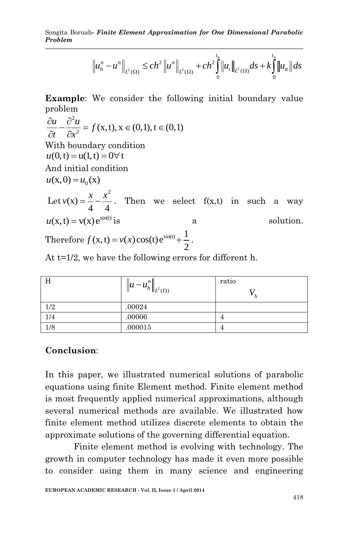*Problem*

Songita Boruah- *Finite Element Approximation for One Dimensional Parabolic Problem*

\n
$$
\left\| u_n^n - u^n \right\|_{L^2(\Omega)} \leq c h^2 \left\| u^n \right\|_{L^2(\Omega)} + c h^2 \int_0^{t_n} \left\| u_t \right\|_{L^2(\Omega)} ds + k \int_0^{t_n} \left\| u_t \right\| ds
$$

**Example**: We consider the following initial boundary value

problem  
\n
$$
\frac{\partial u}{\partial t} - \frac{\partial^2 u}{\partial x^2} = f(x, t), x \in (0, 1), t \in (0, 1)
$$
  
\nWith boundary condition  
\n $u(0, t) = u(1, t) = 0 \forall t$   
\nAnd initial condition  
\n $u(x, 0) = u_0(x)$   
\nLet  $v(x) = \frac{x}{4} - \frac{x^2}{4}$ . Then we select  $f(x, t)$  in such a way  
\n $u(x, t) = v(x) e^{\sin(t)}$  is a solution.  
\nTherefore  $f(x, t) = v(x) \cos(t) e^{\sin(t)} + \frac{1}{2}$ .

At t=1/2, we have the following errors for different h.

| Н                | $  u - u_h^n  _{L^2(\Omega)}$ | ratio |
|------------------|-------------------------------|-------|
| 1/2              | .00024                        |       |
| $\overline{1/4}$ | .00006                        | 4     |
| $\overline{1/8}$ | .000015                       | 4     |

#### **Conclusion**:

In this paper, we illustrated numerical solutions of parabolic equations using finite Element method. Finite element method is most frequently applied numerical approximations, although several numerical methods are available. We illustrated how finite element method utilizes discrete elements to obtain the approximate solutions of the governing differential equation.

Finite element method is evolving with technology. The growth in computer technology has made it even more possible to consider using them in many science and engineering